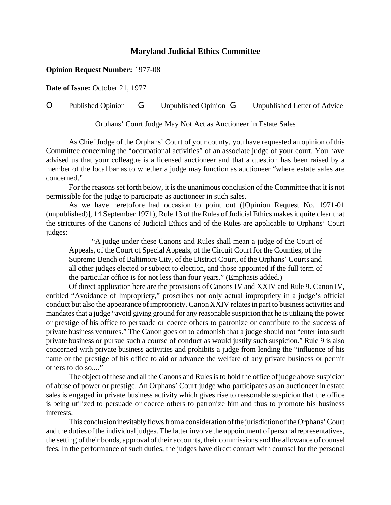## **Maryland Judicial Ethics Committee**

## **Opinion Request Number:** 1977-08

**Date of Issue:** October 21, 1977

## O Published Opinion G Unpublished Opinion G Unpublished Letter of Advice

Orphans' Court Judge May Not Act as Auctioneer in Estate Sales

As Chief Judge of the Orphans' Court of your county, you have requested an opinion of this Committee concerning the "occupational activities" of an associate judge of your court. You have advised us that your colleague is a licensed auctioneer and that a question has been raised by a member of the local bar as to whether a judge may function as auctioneer "where estate sales are concerned."

For the reasons set forth below, it is the unanimous conclusion of the Committee that it is not permissible for the judge to participate as auctioneer in such sales.

As we have heretofore had occasion to point out ([Opinion Request No. 1971-01 (unpublished)], 14 September 1971), Rule 13 of the Rules of Judicial Ethics makes it quite clear that the strictures of the Canons of Judicial Ethics and of the Rules are applicable to Orphans' Court judges:

"A judge under these Canons and Rules shall mean a judge of the Court of Appeals, of the Court of Special Appeals, of the Circuit Court for the Counties, of the Supreme Bench of Baltimore City, of the District Court, of the Orphans' Courts and all other judges elected or subject to election, and those appointed if the full term of the particular office is for not less than four years." (Emphasis added.)

Of direct application here are the provisions of Canons IV and XXIV and Rule 9. Canon IV, entitled "Avoidance of Impropriety," proscribes not only actual impropriety in a judge's official conduct but also the appearance of impropriety. Canon XXIV relates in part to business activities and mandates that a judge "avoid giving ground for any reasonable suspicion that he is utilizing the power or prestige of his office to persuade or coerce others to patronize or contribute to the success of private business ventures." The Canon goes on to admonish that a judge should not "enter into such private business or pursue such a course of conduct as would justify such suspicion." Rule 9 is also concerned with private business activities and prohibits a judge from lending the "influence of his name or the prestige of his office to aid or advance the welfare of any private business or permit others to do so...."

The object of these and all the Canons and Rules is to hold the office of judge above suspicion of abuse of power or prestige. An Orphans' Court judge who participates as an auctioneer in estate sales is engaged in private business activity which gives rise to reasonable suspicion that the office is being utilized to persuade or coerce others to patronize him and thus to promote his business interests.

This conclusion inevitably flows from a consideration of the jurisdiction of the Orphans' Court and the duties of the individual judges. The latter involve the appointment of personal representatives, the setting of their bonds, approval of their accounts, their commissions and the allowance of counsel fees. In the performance of such duties, the judges have direct contact with counsel for the personal